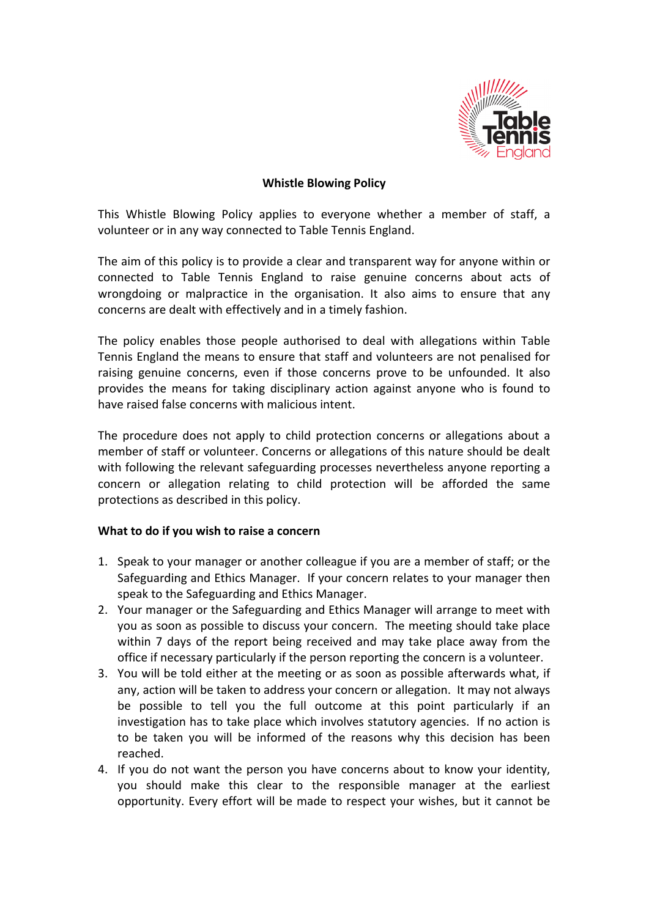

# **Whistle Blowing Policy**

This Whistle Blowing Policy applies to everyone whether a member of staff, a volunteer or in any way connected to Table Tennis England.

The aim of this policy is to provide a clear and transparent way for anyone within or connected to Table Tennis England to raise genuine concerns about acts of wrongdoing or malpractice in the organisation. It also aims to ensure that any concerns are dealt with effectively and in a timely fashion.

The policy enables those people authorised to deal with allegations within Table Tennis England the means to ensure that staff and volunteers are not penalised for raising genuine concerns, even if those concerns prove to be unfounded. It also provides the means for taking disciplinary action against anyone who is found to have raised false concerns with malicious intent.

The procedure does not apply to child protection concerns or allegations about a member of staff or volunteer. Concerns or allegations of this nature should be dealt with following the relevant safeguarding processes nevertheless anyone reporting a concern or allegation relating to child protection will be afforded the same protections as described in this policy.

## **What to do if you wish to raise a concern**

- 1. Speak to your manager or another colleague if you are a member of staff; or the Safeguarding and Ethics Manager. If your concern relates to your manager then speak to the Safeguarding and Ethics Manager.
- 2. Your manager or the Safeguarding and Ethics Manager will arrange to meet with you as soon as possible to discuss your concern. The meeting should take place within 7 days of the report being received and may take place away from the office if necessary particularly if the person reporting the concern is a volunteer.
- 3. You will be told either at the meeting or as soon as possible afterwards what, if any, action will be taken to address your concern or allegation. It may not always be possible to tell you the full outcome at this point particularly if an investigation has to take place which involves statutory agencies. If no action is to be taken you will be informed of the reasons why this decision has been reached.
- 4. If you do not want the person you have concerns about to know your identity, you should make this clear to the responsible manager at the earliest opportunity. Every effort will be made to respect your wishes, but it cannot be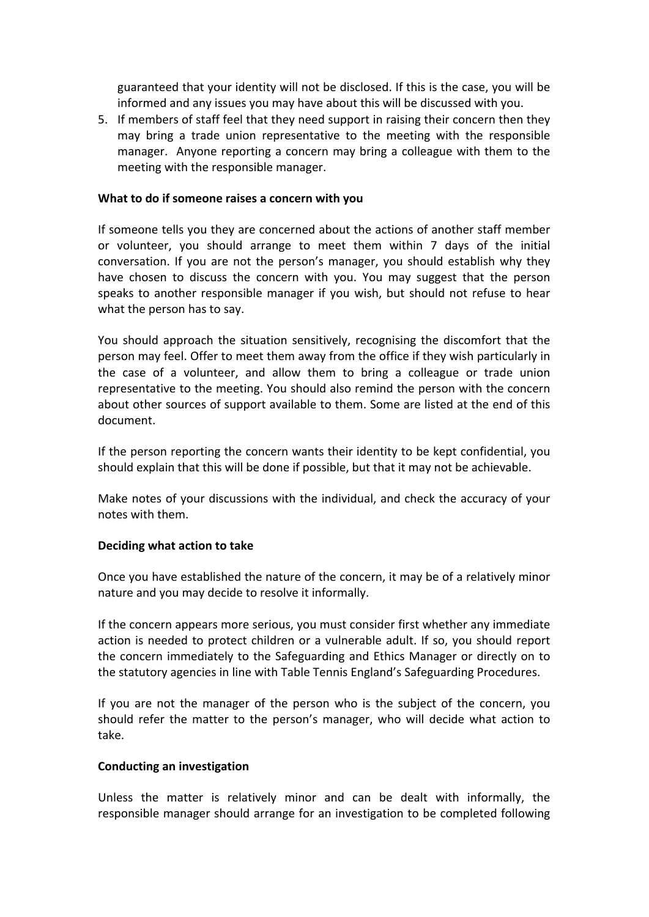guaranteed that your identity will not be disclosed. If this is the case, you will be informed and any issues you may have about this will be discussed with you.

5. If members of staff feel that they need support in raising their concern then they may bring a trade union representative to the meeting with the responsible manager. Anyone reporting a concern may bring a colleague with them to the meeting with the responsible manager.

## **What to do if someone raises a concern with you**

If someone tells you they are concerned about the actions of another staff member or volunteer, you should arrange to meet them within 7 days of the initial conversation. If you are not the person's manager, you should establish why they have chosen to discuss the concern with you. You may suggest that the person speaks to another responsible manager if you wish, but should not refuse to hear what the person has to say.

You should approach the situation sensitively, recognising the discomfort that the person may feel. Offer to meet them away from the office if they wish particularly in the case of a volunteer, and allow them to bring a colleague or trade union representative to the meeting. You should also remind the person with the concern about other sources of support available to them. Some are listed at the end of this document. 

If the person reporting the concern wants their identity to be kept confidential, you should explain that this will be done if possible, but that it may not be achievable.

Make notes of your discussions with the individual, and check the accuracy of your notes with them. 

### **Deciding what action to take**

Once you have established the nature of the concern, it may be of a relatively minor nature and you may decide to resolve it informally.

If the concern appears more serious, you must consider first whether any immediate action is needed to protect children or a vulnerable adult. If so, you should report the concern immediately to the Safeguarding and Ethics Manager or directly on to the statutory agencies in line with Table Tennis England's Safeguarding Procedures.

If you are not the manager of the person who is the subject of the concern, you should refer the matter to the person's manager, who will decide what action to take. 

### **Conducting an investigation**

Unless the matter is relatively minor and can be dealt with informally, the responsible manager should arrange for an investigation to be completed following